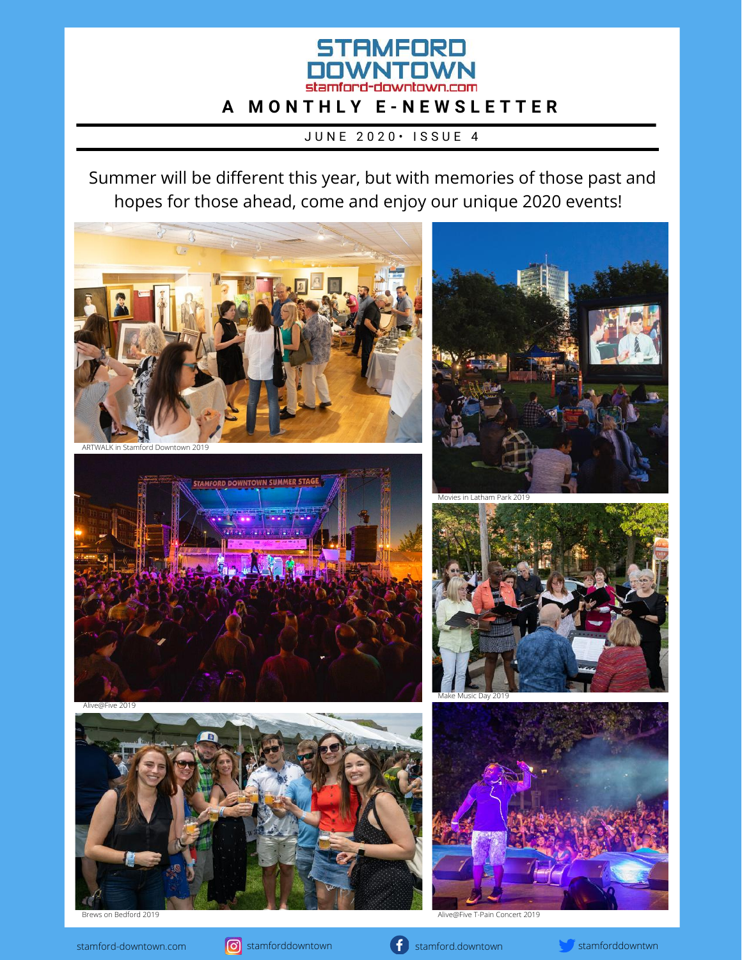# **STAMFORD** OWNTOWN **A M O N T H L Y E - N E W S L E T T E R**

JUNE 2020 · ISSUE 4

Summer will be different this year, but with [memories](http://stamford-downtown.com/signature-events/) of those past and hopes for those ahead, come and enjoy our unique 2020 events[!](http://stamford-downtown.com/signature-events/)





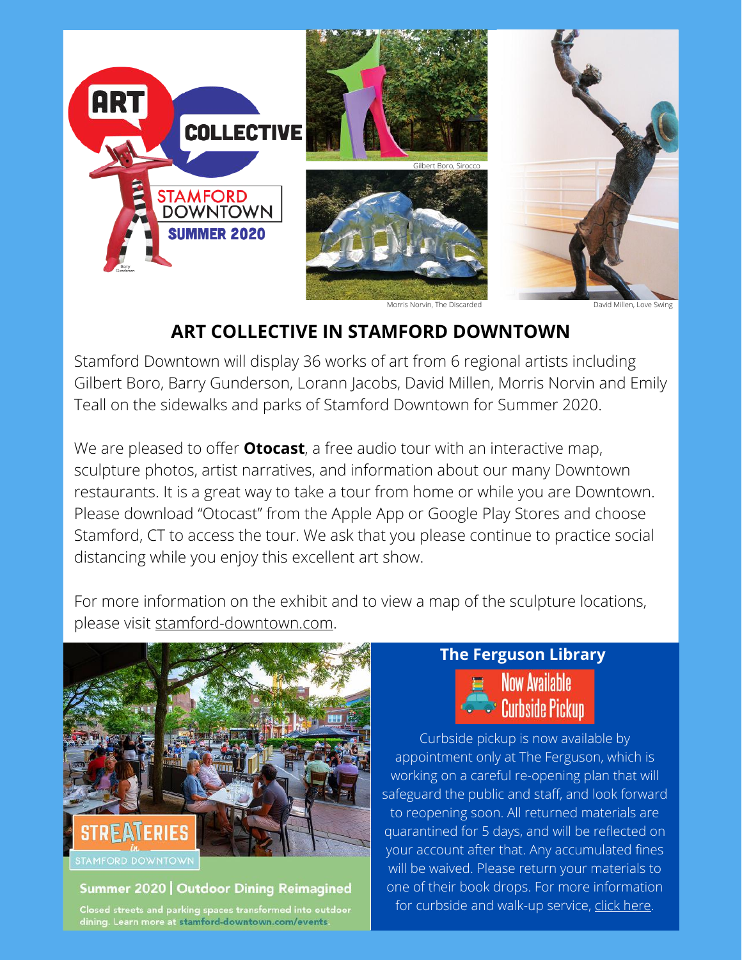

Morris Norvin, The Discarded David Millen, Love Swing

## **[ART COLLECTIVE IN STAMFORD DOWNTOWN](http://stamford-downtown.com/events/art-collective-art-in-public-places/)**

Stamford Downtown will display 36 works of art from 6 regional artists including Gilbert Boro, Barry Gunderson, Lorann Jacobs, David Millen, Morris Norvin and Emily Teall on the sidewalks and parks of Stamford Downtown for Summer 2020.

We are pleased to offer **Otocast**, a free audio tour with an interactive map, sculpture photos, artist narratives, and information about our many Downtown restaurants. It is a great way to take a tour from home or while you are Downtown. Please download "Otocast" from the Apple App or Google Play Stores and choose Stamford, CT to access the tour. We ask that you please continue to practice social distancing while you enjoy this excellent art show.

For more information on the exhibit and to view a map of the sculpture locations, please visit [stamford-downtown.com](http://stamford-downtown.com/events/art-collective-art-in-public-places/).



#### Summer 2020 | Outdoor Dining Reimagined

Closed streets and parking spaces transformed into outdoor dining. Learn more at stamford-downtown.com/events

## **The Ferguson Library Now Available**

**Curbside Pickup** 

Curbside pickup is now available by appointment only at The Ferguson, which is working on a careful re-opening plan that will safeguard the public and staff, and look forward to reopening soon. All returned materials are quarantined for 5 days, and will be reflected on your account after that. Any accumulated fines will be waived. Please return your materials to one of their book drops. For more information for curbside and walk-up service, click [here](https://fergusonlibrary.org/services/curbside-and-walkup-hold-service/).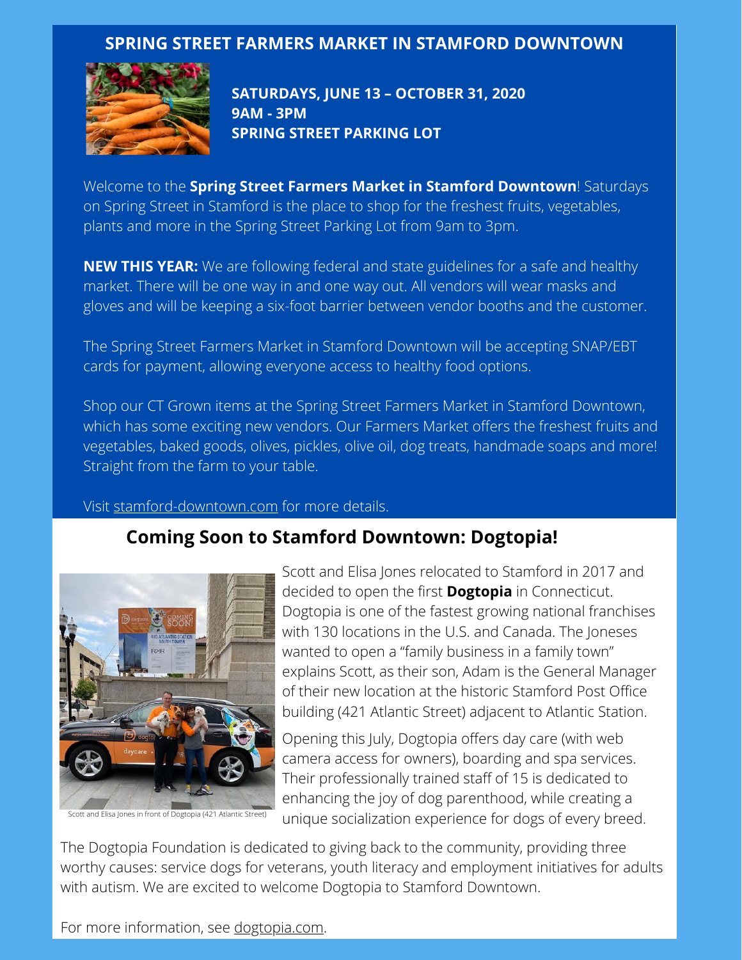### **SPRING STREET FARMERS MARKET IN STAMFORD [DOWNTOWN](http://stamford-downtown.com/events/farmers-market-4)**



**SATURDAYS, JUNE 13 – OCTOBER 31, 2020 9AM - 3PM SPRING STREET PARKING LOT**

Welcome to the **[Spring Street Farmers Market in Stamford Downtown](http://stamford-downtown.com/events/farmers-market-4)**! Saturdays on Spring Street in Stamford is the place to shop for the freshest fruits, vegetables, plants and more in the Spring Street Parking Lot from 9am to 3pm.

**NEW THIS YEAR:** We are following federal and state guidelines for a safe and healthy market. There will be one way in and one way out. All vendors will wear masks and gloves and will be keeping a six-foot barrier between vendor booths and the customer.

The Spring Street Farmers Market in Stamford Downtown will be accepting SNAP/EBT cards for payment, allowing everyone access to healthy food options.

Shop our CT Grown items at the Spring Street Farmers Market in Stamford Downtown, which has some exciting new vendors. Our Farmers Market offers the freshest fruits and vegetables, baked goods, olives, pickles, olive oil, dog treats, handmade soaps and more! Straight from the farm to your table.

#### Visit [stamford-downtown.com](http://stamford-downtown.com/events/farmers-market-4) for more details.

### **[Coming Soon to Stamford Downtown: Dogtopia!](https://www.dogtopia.com/stamford-downtown/)**



Scott and Elisa Jones relocated to Stamford in 2017 and decided to open the first **[Dogtopia](https://www.dogtopia.com/stamford-downtown/)** in Connecticut. Dogtopia is one of the fastest growing national franchises with 130 locations in the U.S. and Canada. The Joneses wanted to open a "family business in a family town" explains Scott, as their son, Adam is the General Manager of their new location at the historic Stamford Post Office building (421 Atlantic Street) adjacent to Atlantic Station.

Opening this July, Dogtopia offers day care (with web camera access for owners), boarding and spa services. Their professionally trained staff of 15 is dedicated to enhancing the joy of dog parenthood, while creating a Scott and Elisa Jones in front of Dogtopia (421 Atlantic Street) unique socialization experience for dogs of every breed.

The Dogtopia Foundation is dedicated to giving back to the community, providing three worthy causes: service dogs for veterans, youth literacy and employment initiatives for adults with autism. We are excited to welcome Dogtopia to Stamford Downtown.

For more information, see [dogtopia.com](https://www.dogtopia.com/stamford-downtown/).